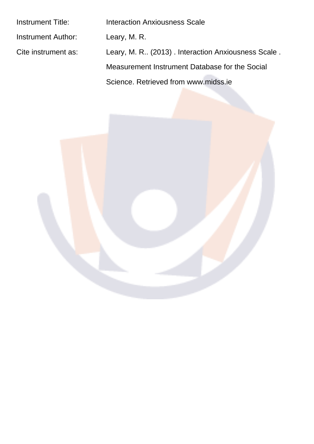| <b>Instrument Title:</b> | Interaction Anxiousness Scale                        |
|--------------------------|------------------------------------------------------|
| Instrument Author:       | Leary, M. R.                                         |
| Cite instrument as:      | Leary, M. R., (2013). Interaction Anxiousness Scale. |
|                          | Measurement Instrument Database for the Social       |
|                          | Science, Retrieved from www.midss.ie                 |